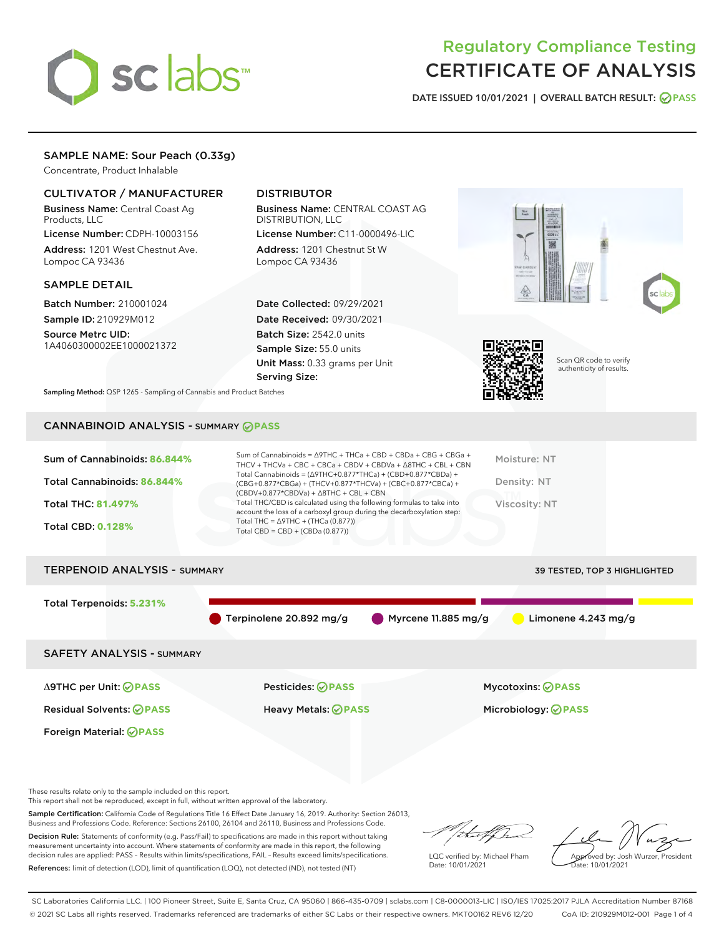# sclabs<sup>\*</sup>

# Regulatory Compliance Testing CERTIFICATE OF ANALYSIS

DATE ISSUED 10/01/2021 | OVERALL BATCH RESULT: @ PASS

# SAMPLE NAME: Sour Peach (0.33g)

Concentrate, Product Inhalable

## CULTIVATOR / MANUFACTURER

Business Name: Central Coast Ag Products, LLC

License Number: CDPH-10003156 Address: 1201 West Chestnut Ave. Lompoc CA 93436

#### SAMPLE DETAIL

Batch Number: 210001024 Sample ID: 210929M012

Source Metrc UID: 1A4060300002EE1000021372

# DISTRIBUTOR

Business Name: CENTRAL COAST AG DISTRIBUTION, LLC License Number: C11-0000496-LIC

Address: 1201 Chestnut St W Lompoc CA 93436

Date Collected: 09/29/2021 Date Received: 09/30/2021 Batch Size: 2542.0 units Sample Size: 55.0 units Unit Mass: 0.33 grams per Unit Serving Size:





Scan QR code to verify authenticity of results.

Sampling Method: QSP 1265 - Sampling of Cannabis and Product Batches

# CANNABINOID ANALYSIS - SUMMARY **PASS**

| Sum of Cannabinoids: 86.844% | Sum of Cannabinoids = $\triangle$ 9THC + THCa + CBD + CBDa + CBG + CBGa +<br>THCV + THCVa + CBC + CBCa + CBDV + CBDVa + $\Delta$ 8THC + CBL + CBN                                    | Moisture: NT  |
|------------------------------|--------------------------------------------------------------------------------------------------------------------------------------------------------------------------------------|---------------|
| Total Cannabinoids: 86.844%  | Total Cannabinoids = $(\Delta$ 9THC+0.877*THCa) + (CBD+0.877*CBDa) +<br>(CBG+0.877*CBGa) + (THCV+0.877*THCVa) + (CBC+0.877*CBCa) +<br>$(CBDV+0.877*CBDVa) + \Delta 8THC + CBL + CBN$ | Density: NT   |
| <b>Total THC: 81.497%</b>    | Total THC/CBD is calculated using the following formulas to take into<br>account the loss of a carboxyl group during the decarboxylation step:                                       | Viscosity: NT |
| <b>Total CBD: 0.128%</b>     | Total THC = $\triangle$ 9THC + (THCa (0.877))<br>Total CBD = $CBD + (CBDa (0.877))$                                                                                                  |               |
|                              |                                                                                                                                                                                      |               |

# TERPENOID ANALYSIS - SUMMARY 39 TESTED, TOP 3 HIGHLIGHTED Total Terpenoids: **5.231%** Terpinolene 20.892 mg/g Myrcene 11.885 mg/g Limonene 4.243 mg/g SAFETY ANALYSIS - SUMMARY Δ9THC per Unit: **PASS** Pesticides: **PASS** Mycotoxins: **PASS**

Foreign Material: **PASS**

Residual Solvents: **PASS** Heavy Metals: **PASS** Microbiology: **PASS**

These results relate only to the sample included on this report.

This report shall not be reproduced, except in full, without written approval of the laboratory.

Sample Certification: California Code of Regulations Title 16 Effect Date January 16, 2019. Authority: Section 26013, Business and Professions Code. Reference: Sections 26100, 26104 and 26110, Business and Professions Code.

Decision Rule: Statements of conformity (e.g. Pass/Fail) to specifications are made in this report without taking measurement uncertainty into account. Where statements of conformity are made in this report, the following decision rules are applied: PASS – Results within limits/specifications, FAIL – Results exceed limits/specifications. References: limit of detection (LOD), limit of quantification (LOQ), not detected (ND), not tested (NT)

da f fr

LQC verified by: Michael Pham Date: 10/01/2021

Approved by: Josh Wurzer, President proved by: 585

SC Laboratories California LLC. | 100 Pioneer Street, Suite E, Santa Cruz, CA 95060 | 866-435-0709 | sclabs.com | C8-0000013-LIC | ISO/IES 17025:2017 PJLA Accreditation Number 87168 © 2021 SC Labs all rights reserved. Trademarks referenced are trademarks of either SC Labs or their respective owners. MKT00162 REV6 12/20 CoA ID: 210929M012-001 Page 1 of 4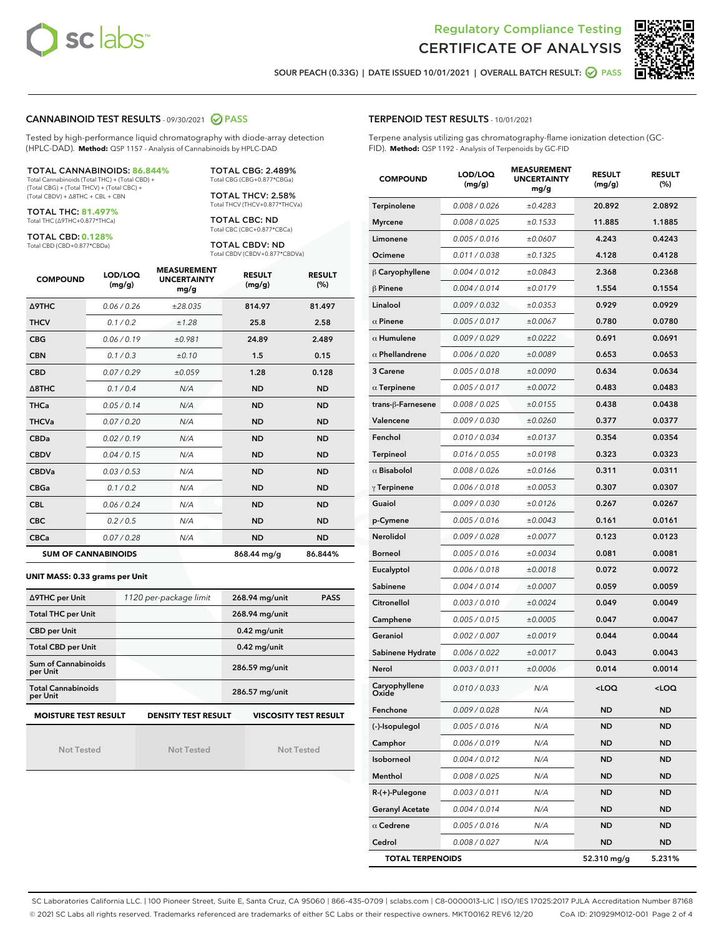



SOUR PEACH (0.33G) | DATE ISSUED 10/01/2021 | OVERALL BATCH RESULT: **○** PASS

#### CANNABINOID TEST RESULTS - 09/30/2021 2 PASS

Tested by high-performance liquid chromatography with diode-array detection (HPLC-DAD). **Method:** QSP 1157 - Analysis of Cannabinoids by HPLC-DAD

#### TOTAL CANNABINOIDS: **86.844%**

Total Cannabinoids (Total THC) + (Total CBD) + (Total CBG) + (Total THCV) + (Total CBC) + (Total CBDV) + ∆8THC + CBL + CBN

TOTAL THC: **81.497%** Total THC (∆9THC+0.877\*THCa)

TOTAL CBD: **0.128%**

Total CBD (CBD+0.877\*CBDa)

TOTAL CBG: 2.489% Total CBG (CBG+0.877\*CBGa)

TOTAL THCV: 2.58% Total THCV (THCV+0.877\*THCVa)

TOTAL CBC: ND Total CBC (CBC+0.877\*CBCa)

TOTAL CBDV: ND Total CBDV (CBDV+0.877\*CBDVa)

| <b>COMPOUND</b>            | LOD/LOQ<br>(mg/g) | <b>MEASUREMENT</b><br><b>UNCERTAINTY</b><br>mg/g | <b>RESULT</b><br>(mg/g) | <b>RESULT</b><br>(%) |
|----------------------------|-------------------|--------------------------------------------------|-------------------------|----------------------|
| <b>A9THC</b>               | 0.06 / 0.26       | ±28.035                                          | 814.97                  | 81.497               |
| <b>THCV</b>                | 0.1 / 0.2         | ±1.28                                            | 25.8                    | 2.58                 |
| <b>CBG</b>                 | 0.06/0.19         | ±0.981                                           | 24.89                   | 2.489                |
| <b>CBN</b>                 | 0.1/0.3           | ±0.10                                            | 1.5                     | 0.15                 |
| <b>CBD</b>                 | 0.07/0.29         | ±0.059                                           | 1.28                    | 0.128                |
| $\triangle$ 8THC           | 0.1 / 0.4         | N/A                                              | <b>ND</b>               | <b>ND</b>            |
| <b>THCa</b>                | 0.05/0.14         | N/A                                              | <b>ND</b>               | <b>ND</b>            |
| <b>THCVa</b>               | 0.07/0.20         | N/A                                              | <b>ND</b>               | <b>ND</b>            |
| <b>CBDa</b>                | 0.02/0.19         | N/A                                              | <b>ND</b>               | <b>ND</b>            |
| <b>CBDV</b>                | 0.04/0.15         | N/A                                              | <b>ND</b>               | <b>ND</b>            |
| <b>CBDVa</b>               | 0.03/0.53         | N/A                                              | <b>ND</b>               | <b>ND</b>            |
| <b>CBGa</b>                | 0.1/0.2           | N/A                                              | <b>ND</b>               | <b>ND</b>            |
| <b>CBL</b>                 | 0.06 / 0.24       | N/A                                              | <b>ND</b>               | <b>ND</b>            |
| <b>CBC</b>                 | 0.2 / 0.5         | N/A                                              | <b>ND</b>               | <b>ND</b>            |
| <b>CBCa</b>                | 0.07 / 0.28       | N/A                                              | <b>ND</b>               | <b>ND</b>            |
| <b>SUM OF CANNABINOIDS</b> |                   |                                                  | 868.44 mg/g             | 86.844%              |

#### **UNIT MASS: 0.33 grams per Unit**

| ∆9THC per Unit                                                                            | 1120 per-package limit | 268.94 mg/unit<br><b>PASS</b> |  |  |  |
|-------------------------------------------------------------------------------------------|------------------------|-------------------------------|--|--|--|
| <b>Total THC per Unit</b>                                                                 |                        | 268.94 mg/unit                |  |  |  |
| <b>CBD per Unit</b>                                                                       |                        | $0.42$ mg/unit                |  |  |  |
| <b>Total CBD per Unit</b>                                                                 |                        | $0.42$ mg/unit                |  |  |  |
| Sum of Cannabinoids<br>per Unit                                                           |                        | 286.59 mg/unit                |  |  |  |
| <b>Total Cannabinoids</b><br>per Unit                                                     |                        | 286.57 mg/unit                |  |  |  |
| <b>MOISTURE TEST RESULT</b><br><b>DENSITY TEST RESULT</b><br><b>VISCOSITY TEST RESULT</b> |                        |                               |  |  |  |

Not Tested

Not Tested

Not Tested

#### TERPENOID TEST RESULTS - 10/01/2021

Terpene analysis utilizing gas chromatography-flame ionization detection (GC-FID). **Method:** QSP 1192 - Analysis of Terpenoids by GC-FID

| <b>COMPOUND</b>         | LOD/LOQ<br>(mg/g) | <b>MEASUREMENT</b><br><b>UNCERTAINTY</b><br>mg/g | <b>RESULT</b><br>(mg/g)                         | <b>RESULT</b><br>(%) |
|-------------------------|-------------------|--------------------------------------------------|-------------------------------------------------|----------------------|
| Terpinolene             | 0.008 / 0.026     | ±0.4283                                          | 20.892                                          | 2.0892               |
| <b>Myrcene</b>          | 0.008 / 0.025     | ±0.1533                                          | 11.885                                          | 1.1885               |
| Limonene                | 0.005 / 0.016     | ±0.0607                                          | 4.243                                           | 0.4243               |
| Ocimene                 | 0.011 / 0.038     | ±0.1325                                          | 4.128                                           | 0.4128               |
| $\beta$ Caryophyllene   | 0.004 / 0.012     | ±0.0843                                          | 2.368                                           | 0.2368               |
| $\beta$ Pinene          | 0.004 / 0.014     | ±0.0179                                          | 1.554                                           | 0.1554               |
| Linalool                | 0.009 / 0.032     | ±0.0353                                          | 0.929                                           | 0.0929               |
| $\alpha$ Pinene         | 0.005 / 0.017     | ±0.0067                                          | 0.780                                           | 0.0780               |
| $\alpha$ Humulene       | 0.009 / 0.029     | ±0.0222                                          | 0.691                                           | 0.0691               |
| $\alpha$ Phellandrene   | 0.006 / 0.020     | ±0.0089                                          | 0.653                                           | 0.0653               |
| 3 Carene                | 0.005 / 0.018     | ±0.0090                                          | 0.634                                           | 0.0634               |
| $\alpha$ Terpinene      | 0.005 / 0.017     | ±0.0072                                          | 0.483                                           | 0.0483               |
| trans-ß-Farnesene       | 0.008 / 0.025     | ±0.0155                                          | 0.438                                           | 0.0438               |
| Valencene               | 0.009 / 0.030     | ±0.0260                                          | 0.377                                           | 0.0377               |
| Fenchol                 | 0.010 / 0.034     | ±0.0137                                          | 0.354                                           | 0.0354               |
| <b>Terpineol</b>        | 0.016 / 0.055     | ±0.0198                                          | 0.323                                           | 0.0323               |
| $\alpha$ Bisabolol      | 0.008 / 0.026     | ±0.0166                                          | 0.311                                           | 0.0311               |
| $\gamma$ Terpinene      | 0.006 / 0.018     | ±0.0053                                          | 0.307                                           | 0.0307               |
| Guaiol                  | 0.009 / 0.030     | ±0.0126                                          | 0.267                                           | 0.0267               |
| p-Cymene                | 0.005 / 0.016     | ±0.0043                                          | 0.161                                           | 0.0161               |
| Nerolidol               | 0.009 / 0.028     | ±0.0077                                          | 0.123                                           | 0.0123               |
| <b>Borneol</b>          | 0.005 / 0.016     | ±0.0034                                          | 0.081                                           | 0.0081               |
| Eucalyptol              | 0.006 / 0.018     | ±0.0018                                          | 0.072                                           | 0.0072               |
| Sabinene                | 0.004 / 0.014     | ±0.0007                                          | 0.059                                           | 0.0059               |
| Citronellol             | 0.003 / 0.010     | ±0.0024                                          | 0.049                                           | 0.0049               |
| Camphene                | 0.005 / 0.015     | ±0.0005                                          | 0.047                                           | 0.0047               |
| Geraniol                | 0.002 / 0.007     | ±0.0019                                          | 0.044                                           | 0.0044               |
| Sabinene Hydrate        | 0.006 / 0.022     | ±0.0017                                          | 0.043                                           | 0.0043               |
| Nerol                   | 0.003 / 0.011     | ±0.0006                                          | 0.014                                           | 0.0014               |
| Caryophyllene           | 0.010 / 0.033     | N/A                                              | <loq< th=""><th><loq< th=""></loq<></th></loq<> | <loq< th=""></loq<>  |
| Fenchone                | 0.009 / 0.028     | N/A                                              | <b>ND</b>                                       | ND                   |
| (-)-Isopulegol          | 0.005 / 0.016     | N/A                                              | ND                                              | ND                   |
| Camphor                 | 0.006 / 0.019     | N/A                                              | ND                                              | ND                   |
| Isoborneol              | 0.004 / 0.012     | N/A                                              | ND                                              | ND                   |
| Menthol                 | 0.008 / 0.025     | N/A                                              | ND                                              | <b>ND</b>            |
| R-(+)-Pulegone          | 0.003 / 0.011     | N/A                                              | ND                                              | ND                   |
| <b>Geranyl Acetate</b>  | 0.004 / 0.014     | N/A                                              | ND                                              | ND                   |
| $\alpha$ Cedrene        | 0.005 / 0.016     | N/A                                              | ND                                              | ND                   |
| Cedrol                  | 0.008 / 0.027     | N/A                                              | ND                                              | ND                   |
| <b>TOTAL TERPENOIDS</b> |                   |                                                  | 52.310 mg/g                                     | 5.231%               |

SC Laboratories California LLC. | 100 Pioneer Street, Suite E, Santa Cruz, CA 95060 | 866-435-0709 | sclabs.com | C8-0000013-LIC | ISO/IES 17025:2017 PJLA Accreditation Number 87168 © 2021 SC Labs all rights reserved. Trademarks referenced are trademarks of either SC Labs or their respective owners. MKT00162 REV6 12/20 CoA ID: 210929M012-001 Page 2 of 4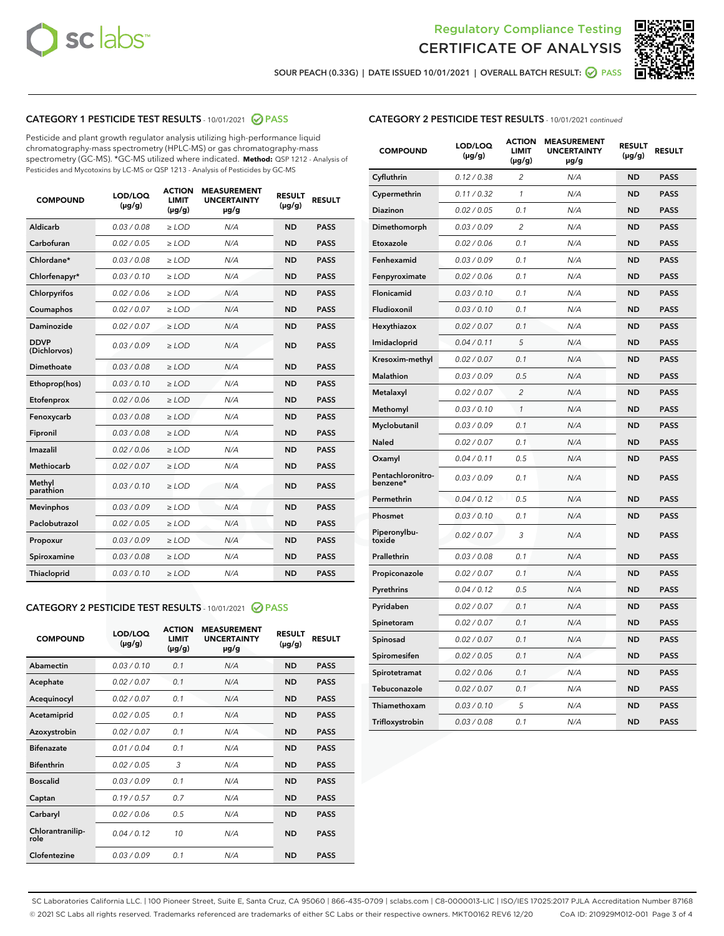



SOUR PEACH (0.33G) | DATE ISSUED 10/01/2021 | OVERALL BATCH RESULT: ● PASS

# CATEGORY 1 PESTICIDE TEST RESULTS - 10/01/2021 2 PASS

Pesticide and plant growth regulator analysis utilizing high-performance liquid chromatography-mass spectrometry (HPLC-MS) or gas chromatography-mass spectrometry (GC-MS). \*GC-MS utilized where indicated. **Method:** QSP 1212 - Analysis of Pesticides and Mycotoxins by LC-MS or QSP 1213 - Analysis of Pesticides by GC-MS

| <b>COMPOUND</b>             | LOD/LOQ<br>$(\mu g/g)$ | <b>ACTION</b><br><b>LIMIT</b><br>$(\mu g/g)$ | <b>MEASUREMENT</b><br><b>UNCERTAINTY</b><br>µg/g | <b>RESULT</b><br>$(\mu g/g)$ | <b>RESULT</b> |
|-----------------------------|------------------------|----------------------------------------------|--------------------------------------------------|------------------------------|---------------|
| Aldicarb                    | 0.03 / 0.08            | $\geq$ LOD                                   | N/A                                              | <b>ND</b>                    | <b>PASS</b>   |
| Carbofuran                  | 0.02/0.05              | $\ge$ LOD                                    | N/A                                              | <b>ND</b>                    | <b>PASS</b>   |
| Chlordane*                  | 0.03 / 0.08            | $\ge$ LOD                                    | N/A                                              | <b>ND</b>                    | <b>PASS</b>   |
| Chlorfenapyr*               | 0.03/0.10              | $\ge$ LOD                                    | N/A                                              | <b>ND</b>                    | <b>PASS</b>   |
| Chlorpyrifos                | 0.02 / 0.06            | $\ge$ LOD                                    | N/A                                              | <b>ND</b>                    | <b>PASS</b>   |
| Coumaphos                   | 0.02 / 0.07            | $\ge$ LOD                                    | N/A                                              | <b>ND</b>                    | <b>PASS</b>   |
| Daminozide                  | 0.02 / 0.07            | $\ge$ LOD                                    | N/A                                              | <b>ND</b>                    | <b>PASS</b>   |
| <b>DDVP</b><br>(Dichlorvos) | 0.03/0.09              | $\ge$ LOD                                    | N/A                                              | <b>ND</b>                    | <b>PASS</b>   |
| Dimethoate                  | 0.03 / 0.08            | $\ge$ LOD                                    | N/A                                              | <b>ND</b>                    | <b>PASS</b>   |
| Ethoprop(hos)               | 0.03/0.10              | $\ge$ LOD                                    | N/A                                              | <b>ND</b>                    | <b>PASS</b>   |
| Etofenprox                  | 0.02 / 0.06            | $\ge$ LOD                                    | N/A                                              | <b>ND</b>                    | <b>PASS</b>   |
| Fenoxycarb                  | 0.03/0.08              | $\ge$ LOD                                    | N/A                                              | <b>ND</b>                    | <b>PASS</b>   |
| Fipronil                    | 0.03 / 0.08            | $\ge$ LOD                                    | N/A                                              | <b>ND</b>                    | <b>PASS</b>   |
| Imazalil                    | 0.02 / 0.06            | $\ge$ LOD                                    | N/A                                              | <b>ND</b>                    | <b>PASS</b>   |
| <b>Methiocarb</b>           | 0.02 / 0.07            | $\ge$ LOD                                    | N/A                                              | <b>ND</b>                    | <b>PASS</b>   |
| Methyl<br>parathion         | 0.03/0.10              | $\ge$ LOD                                    | N/A                                              | <b>ND</b>                    | <b>PASS</b>   |
| <b>Mevinphos</b>            | 0.03/0.09              | $\ge$ LOD                                    | N/A                                              | <b>ND</b>                    | <b>PASS</b>   |
| Paclobutrazol               | 0.02 / 0.05            | $\ge$ LOD                                    | N/A                                              | <b>ND</b>                    | <b>PASS</b>   |
| Propoxur                    | 0.03/0.09              | $\ge$ LOD                                    | N/A                                              | <b>ND</b>                    | <b>PASS</b>   |
| Spiroxamine                 | 0.03 / 0.08            | $\ge$ LOD                                    | N/A                                              | <b>ND</b>                    | <b>PASS</b>   |
| <b>Thiacloprid</b>          | 0.03/0.10              | $\ge$ LOD                                    | N/A                                              | <b>ND</b>                    | <b>PASS</b>   |
|                             |                        |                                              |                                                  |                              |               |

# CATEGORY 2 PESTICIDE TEST RESULTS - 10/01/2021 @ PASS

| <b>COMPOUND</b>          | LOD/LOO<br>$(\mu g/g)$ | <b>ACTION</b><br>LIMIT<br>$(\mu g/g)$ | <b>MEASUREMENT</b><br><b>UNCERTAINTY</b><br>µg/g | <b>RESULT</b><br>$(\mu g/g)$ | <b>RESULT</b> |
|--------------------------|------------------------|---------------------------------------|--------------------------------------------------|------------------------------|---------------|
| Abamectin                | 0.03/0.10              | 0.1                                   | N/A                                              | <b>ND</b>                    | <b>PASS</b>   |
| Acephate                 | 0.02/0.07              | 0.1                                   | N/A                                              | <b>ND</b>                    | <b>PASS</b>   |
| Acequinocyl              | 0.02/0.07              | 0.1                                   | N/A                                              | <b>ND</b>                    | <b>PASS</b>   |
| Acetamiprid              | 0.02/0.05              | 0.1                                   | N/A                                              | <b>ND</b>                    | <b>PASS</b>   |
| Azoxystrobin             | 0.02/0.07              | 0.1                                   | N/A                                              | <b>ND</b>                    | <b>PASS</b>   |
| <b>Bifenazate</b>        | 0.01/0.04              | 0.1                                   | N/A                                              | <b>ND</b>                    | <b>PASS</b>   |
| <b>Bifenthrin</b>        | 0.02/0.05              | 3                                     | N/A                                              | <b>ND</b>                    | <b>PASS</b>   |
| <b>Boscalid</b>          | 0.03/0.09              | 0.1                                   | N/A                                              | <b>ND</b>                    | <b>PASS</b>   |
| Captan                   | 0.19/0.57              | 0.7                                   | N/A                                              | <b>ND</b>                    | <b>PASS</b>   |
| Carbaryl                 | 0.02/0.06              | 0.5                                   | N/A                                              | <b>ND</b>                    | <b>PASS</b>   |
| Chlorantranilip-<br>role | 0.04/0.12              | 10                                    | N/A                                              | <b>ND</b>                    | <b>PASS</b>   |
| Clofentezine             | 0.03/0.09              | 0.1                                   | N/A                                              | <b>ND</b>                    | <b>PASS</b>   |

#### CATEGORY 2 PESTICIDE TEST RESULTS - 10/01/2021 continued

| <b>COMPOUND</b>               | LOD/LOQ<br>(µg/g) | <b>ACTION</b><br><b>LIMIT</b><br>$(\mu g/g)$ | <b>MEASUREMENT</b><br><b>UNCERTAINTY</b><br>µg/g | <b>RESULT</b><br>(µg/g) | <b>RESULT</b> |
|-------------------------------|-------------------|----------------------------------------------|--------------------------------------------------|-------------------------|---------------|
| Cyfluthrin                    | 0.12 / 0.38       | $\overline{c}$                               | N/A                                              | <b>ND</b>               | <b>PASS</b>   |
| Cypermethrin                  | 0.11 / 0.32       | 1                                            | N/A                                              | ND                      | <b>PASS</b>   |
| <b>Diazinon</b>               | 0.02 / 0.05       | 0.1                                          | N/A                                              | <b>ND</b>               | <b>PASS</b>   |
| Dimethomorph                  | 0.03 / 0.09       | 2                                            | N/A                                              | ND                      | <b>PASS</b>   |
| Etoxazole                     | 0.02 / 0.06       | 0.1                                          | N/A                                              | ND                      | <b>PASS</b>   |
| Fenhexamid                    | 0.03 / 0.09       | 0.1                                          | N/A                                              | <b>ND</b>               | <b>PASS</b>   |
| Fenpyroximate                 | 0.02 / 0.06       | 0.1                                          | N/A                                              | <b>ND</b>               | <b>PASS</b>   |
| Flonicamid                    | 0.03 / 0.10       | 0.1                                          | N/A                                              | <b>ND</b>               | <b>PASS</b>   |
| Fludioxonil                   | 0.03 / 0.10       | 0.1                                          | N/A                                              | <b>ND</b>               | <b>PASS</b>   |
| Hexythiazox                   | 0.02 / 0.07       | 0.1                                          | N/A                                              | <b>ND</b>               | <b>PASS</b>   |
| Imidacloprid                  | 0.04 / 0.11       | 5                                            | N/A                                              | <b>ND</b>               | <b>PASS</b>   |
| Kresoxim-methyl               | 0.02 / 0.07       | 0.1                                          | N/A                                              | ND                      | <b>PASS</b>   |
| Malathion                     | 0.03 / 0.09       | 0.5                                          | N/A                                              | <b>ND</b>               | <b>PASS</b>   |
| Metalaxyl                     | 0.02 / 0.07       | $\overline{c}$                               | N/A                                              | <b>ND</b>               | <b>PASS</b>   |
| Methomyl                      | 0.03 / 0.10       | $\mathcal{I}$                                | N/A                                              | ND                      | <b>PASS</b>   |
| Myclobutanil                  | 0.03 / 0.09       | 0.1                                          | N/A                                              | <b>ND</b>               | <b>PASS</b>   |
| Naled                         | 0.02 / 0.07       | 0.1                                          | N/A                                              | <b>ND</b>               | <b>PASS</b>   |
| Oxamyl                        | 0.04 / 0.11       | 0.5                                          | N/A                                              | ND                      | <b>PASS</b>   |
| Pentachloronitro-<br>benzene* | 0.03 / 0.09       | 0.1                                          | N/A                                              | <b>ND</b>               | <b>PASS</b>   |
| Permethrin                    | 0.04 / 0.12       | 0.5                                          | N/A                                              | <b>ND</b>               | <b>PASS</b>   |
| Phosmet                       | 0.03 / 0.10       | 0.1                                          | N/A                                              | ND                      | <b>PASS</b>   |
| Piperonylbu-<br>toxide        | 0.02 / 0.07       | 3                                            | N/A                                              | <b>ND</b>               | <b>PASS</b>   |
| Prallethrin                   | 0.03 / 0.08       | 0.1                                          | N/A                                              | <b>ND</b>               | <b>PASS</b>   |
| Propiconazole                 | 0.02 / 0.07       | 0.1                                          | N/A                                              | <b>ND</b>               | <b>PASS</b>   |
| Pyrethrins                    | 0.04 / 0.12       | 0.5                                          | N/A                                              | <b>ND</b>               | <b>PASS</b>   |
| Pyridaben                     | 0.02 / 0.07       | 0.1                                          | N/A                                              | <b>ND</b>               | <b>PASS</b>   |
| Spinetoram                    | 0.02 / 0.07       | 0.1                                          | N/A                                              | <b>ND</b>               | <b>PASS</b>   |
| Spinosad                      | 0.02 / 0.07       | 0.1                                          | N/A                                              | ND                      | <b>PASS</b>   |
| Spiromesifen                  | 0.02 / 0.05       | 0.1                                          | N/A                                              | <b>ND</b>               | <b>PASS</b>   |
| Spirotetramat                 | 0.02 / 0.06       | 0.1                                          | N/A                                              | <b>ND</b>               | <b>PASS</b>   |
| Tebuconazole                  | 0.02 / 0.07       | 0.1                                          | N/A                                              | ND                      | <b>PASS</b>   |
| Thiamethoxam                  | 0.03 / 0.10       | 5                                            | N/A                                              | <b>ND</b>               | <b>PASS</b>   |
| Trifloxystrobin               | 0.03 / 0.08       | 0.1                                          | N/A                                              | <b>ND</b>               | <b>PASS</b>   |

SC Laboratories California LLC. | 100 Pioneer Street, Suite E, Santa Cruz, CA 95060 | 866-435-0709 | sclabs.com | C8-0000013-LIC | ISO/IES 17025:2017 PJLA Accreditation Number 87168 © 2021 SC Labs all rights reserved. Trademarks referenced are trademarks of either SC Labs or their respective owners. MKT00162 REV6 12/20 CoA ID: 210929M012-001 Page 3 of 4